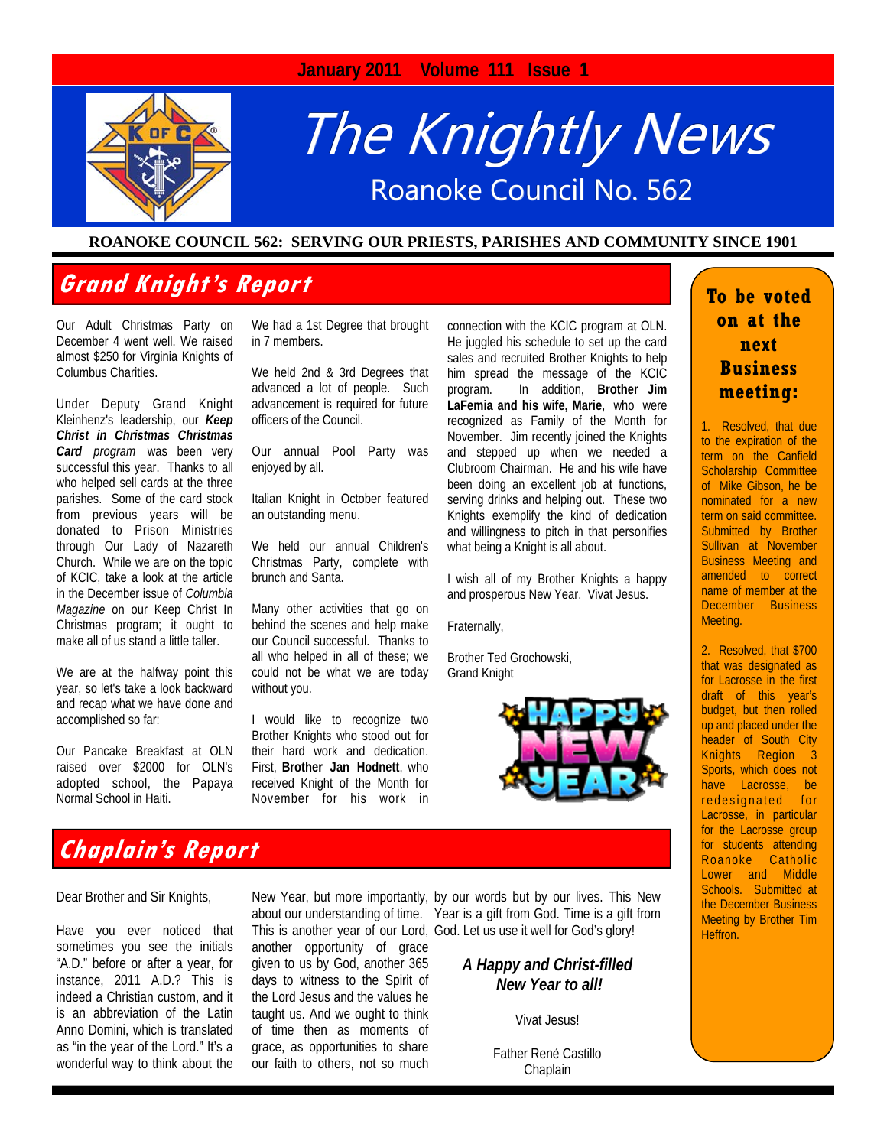

#### **ROANOKE COUNCIL 562: SERVING OUR PRIESTS, PARISHES AND COMMUNITY SINCE 1901**

## **Grand Knight's Report**

Our Adult Christmas Party on December 4 went well. We raised almost \$250 for Virginia Knights of Columbus Charities.

Under Deputy Grand Knight Kleinhenz's leadership, our *Keep Christ in Christmas Christmas Card program* was been very successful this year. Thanks to all who helped sell cards at the three parishes. Some of the card stock from previous years will be donated to Prison Ministries through Our Lady of Nazareth Church. While we are on the topic of KCIC, take a look at the article in the December issue of *Columbia Magazine* on our Keep Christ In Christmas program; it ought to make all of us stand a little taller.

We are at the halfway point this year, so let's take a look backward and recap what we have done and accomplished so far:

Our Pancake Breakfast at OLN raised over \$2000 for OLN's adopted school, the Papaya Normal School in Haiti.

We had a 1st Degree that brought in 7 members.

We held 2nd & 3rd Degrees that advanced a lot of people. Such advancement is required for future officers of the Council.

Our annual Pool Party was enjoyed by all.

Italian Knight in October featured an outstanding menu.

We held our annual Children's Christmas Party, complete with brunch and Santa.

Many other activities that go on behind the scenes and help make our Council successful. Thanks to all who helped in all of these; we could not be what we are today without you.

I would like to recognize two Brother Knights who stood out for their hard work and dedication. First, **Brother Jan Hodnett**, who received Knight of the Month for November for his work in connection with the KCIC program at OLN. He juggled his schedule to set up the card sales and recruited Brother Knights to help him spread the message of the KCIC program. In addition, **Brother Jim LaFemia and his wife, Marie**, who were recognized as Family of the Month for November. Jim recently joined the Knights and stepped up when we needed a Clubroom Chairman. He and his wife have been doing an excellent job at functions, serving drinks and helping out. These two Knights exemplify the kind of dedication and willingness to pitch in that personifies what being a Knight is all about.

I wish all of my Brother Knights a happy and prosperous New Year. Vivat Jesus.

Fraternally,

Brother Ted Grochowski, Grand Knight



#### **To be voted on at the next Business meeting:**

1. Resolved, that due to the expiration of the term on the Canfield Scholarship Committee of Mike Gibson, he be nominated for a new term on said committee. Submitted by Brother Sullivan at November Business Meeting and amended to correct name of member at the December Business Meeting.

2. Resolved, that \$700 that was designated as for Lacrosse in the first draft of this year's budget, but then rolled up and placed under the header of South City Knights Region 3 Sports, which does not have Lacrosse, be redesignated for Lacrosse, in particular for the Lacrosse group for students attending Roanoke Catholic Lower and Middle Schools. Submitted at the December Business Meeting by Brother Tim Heffron.

## **Chaplain's Report**

Dear Brother and Sir Knights,

Have you ever noticed that sometimes you see the initials "A.D." before or after a year, for instance, 2011 A.D.? This is indeed a Christian custom, and it is an abbreviation of the Latin Anno Domini, which is translated as "in the year of the Lord." It's a wonderful way to think about the another opportunity of grace given to us by God, another 365 days to witness to the Spirit of the Lord Jesus and the values he taught us. And we ought to think of time then as moments of grace, as opportunities to share our faith to others, not so much

New Year, but more importantly, by our words but by our lives. This New about our understanding of time. Year is a gift from God. Time is a gift from This is another year of our Lord, God. Let us use it well for God's glory!

#### *A Happy and Christ-filled New Year to all!*

Vivat Jesus!

Father René Castillo **Chaplain**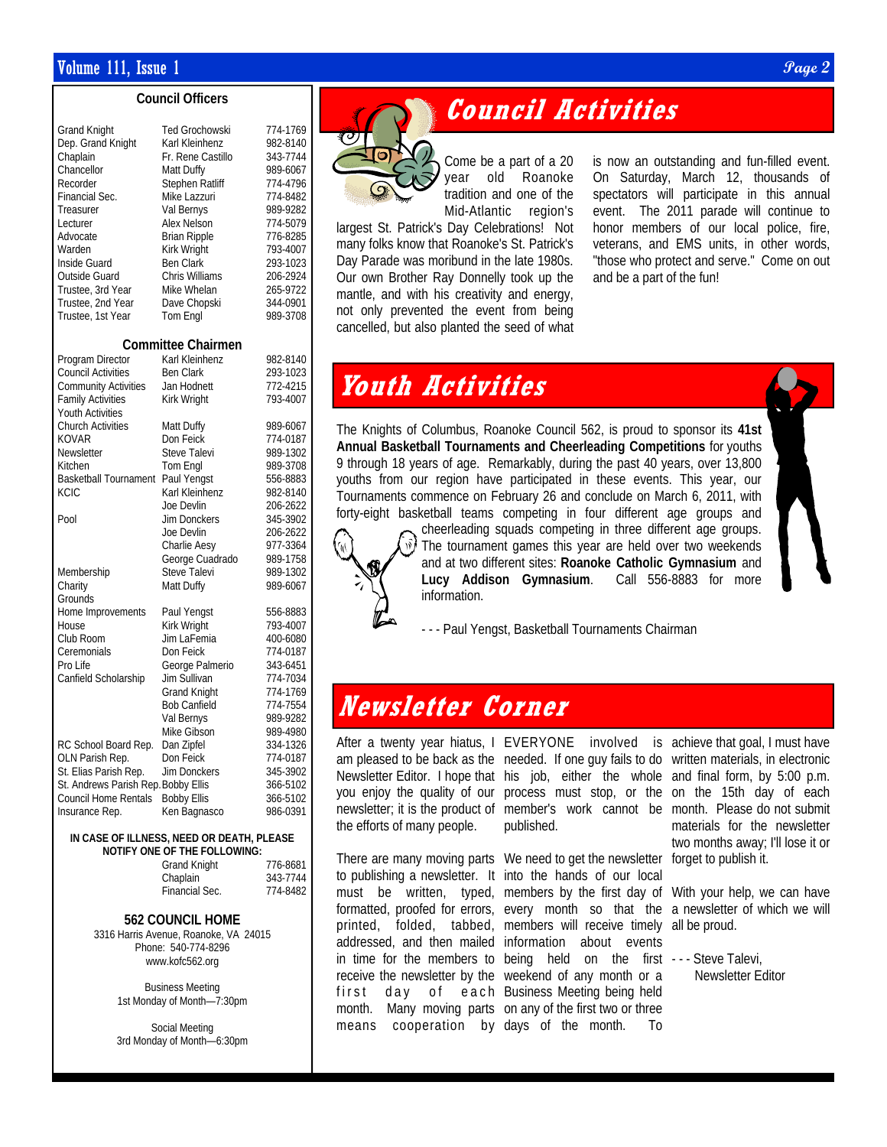#### $\blacksquare$  Volume 111, Issue 1  $\blacksquare$

#### **Council Officers**

| Grand Knight<br>Dep. Grand Knight<br>Chaplain<br>Chancellor<br>Recorder<br>Financial Sec.<br>Treasurer | <b>Ted Grochowski</b><br>Karl Kleinhenz<br>Fr. Rene Castillo<br>Matt Duffy<br>Stephen Ratliff<br>Mike Lazzuri<br>Val Bernys | 774-1769<br>982-8140<br>343-7744<br>989-6067<br>774-4796<br>774-8482<br>989-9282 |
|--------------------------------------------------------------------------------------------------------|-----------------------------------------------------------------------------------------------------------------------------|----------------------------------------------------------------------------------|
| Lecturer                                                                                               | Alex Nelson                                                                                                                 | 774-5079                                                                         |
| Advocate                                                                                               | <b>Brian Ripple</b>                                                                                                         | 776-8285                                                                         |
| Warden                                                                                                 | Kirk Wright                                                                                                                 | 793-4007                                                                         |
| Inside Guard<br>Outside Guard                                                                          | <b>Ben Clark</b><br>Chris Williams                                                                                          | 293-1023<br>206-2924                                                             |
| Trustee, 3rd Year                                                                                      | Mike Whelan                                                                                                                 | 265-9722                                                                         |
| Trustee, 2nd Year                                                                                      | Dave Chopski                                                                                                                | 344-0901                                                                         |
| Trustee, 1st Year                                                                                      | <b>Tom Engl</b>                                                                                                             | 989-3708                                                                         |
|                                                                                                        | Committee Chairmen                                                                                                          |                                                                                  |
| Program Director                                                                                       | Karl Kleinhenz                                                                                                              | 982-8140                                                                         |
| <b>Council Activities</b>                                                                              | <b>Ben Clark</b>                                                                                                            | 293-1023                                                                         |
| <b>Community Activities</b>                                                                            | Jan Hodnett                                                                                                                 | 772-4215                                                                         |
| <b>Family Activities</b><br>Youth Activities                                                           | Kirk Wright                                                                                                                 | 793-4007                                                                         |
| <b>Church Activities</b>                                                                               | Matt Duffy                                                                                                                  | 989-6067                                                                         |
| <b>KOVAR</b>                                                                                           | Don Feick                                                                                                                   | 774-0187                                                                         |
| Newsletter                                                                                             | <b>Steve Talevi</b>                                                                                                         | 989-1302                                                                         |
| Kitchen                                                                                                | Tom Engl                                                                                                                    | 989-3708                                                                         |
| <b>Basketball Tournament</b><br>KCIC                                                                   | Paul Yengst<br>Karl Kleinhenz                                                                                               | 556-8883<br>982-8140                                                             |
|                                                                                                        | Joe Devlin                                                                                                                  | 206-2622                                                                         |
| Pool                                                                                                   | <b>Jim Donckers</b>                                                                                                         | 345-3902                                                                         |
|                                                                                                        | Joe Devlin                                                                                                                  | 206-2622                                                                         |
|                                                                                                        | Charlie Aesy                                                                                                                | 977-3364                                                                         |
|                                                                                                        | George Cuadrado                                                                                                             | 989-1758                                                                         |
| Membership<br>Charity                                                                                  | Steve Talevi<br>Matt Duffy                                                                                                  | 989-1302<br>989-6067                                                             |
| Grounds                                                                                                |                                                                                                                             |                                                                                  |
| Home Improvements                                                                                      | Paul Yengst                                                                                                                 | 556-8883                                                                         |
| House                                                                                                  | Kirk Wright                                                                                                                 | 793-4007                                                                         |
| Club Room                                                                                              | Jim LaFemia                                                                                                                 | 400-6080                                                                         |
| Ceremonials<br>Pro Life                                                                                | Don Feick                                                                                                                   | 774-0187                                                                         |
| Canfield Scholarship                                                                                   | George Palmerio<br>Jim Sullivan                                                                                             | 343-6451<br>774-7034                                                             |
|                                                                                                        | <b>Grand Knight</b>                                                                                                         | 774-1769                                                                         |
|                                                                                                        | <b>Bob Canfield</b>                                                                                                         | 774-7554                                                                         |
|                                                                                                        | Val Bernys                                                                                                                  | 989-9282                                                                         |
|                                                                                                        | Mike Gibson                                                                                                                 | 989-4980                                                                         |
| RC School Board Rep.                                                                                   | Dan Zipfel<br>Don Feick                                                                                                     | 334-1326                                                                         |
| OLN Parish Rep.<br>St. Elias Parish Rep.                                                               | <b>Jim Donckers</b>                                                                                                         | 774-0187<br>345-3902                                                             |
| St. Andrews Parish Rep. Bobby Ellis                                                                    |                                                                                                                             | 366-5102                                                                         |
| <b>Council Home Rentals</b>                                                                            | <b>Bobby Ellis</b>                                                                                                          | 366-5102                                                                         |
| Insurance Rep.                                                                                         | Ken Bagnasco                                                                                                                | 986-0391                                                                         |
|                                                                                                        |                                                                                                                             |                                                                                  |

#### **IN CASE OF ILLNESS, NEED OR DEATH, PLEASE NOTIFY ONE OF THE FOLLOWING:**

| 776-8681 |
|----------|
| 343-7744 |
| 774-8482 |
|          |

#### **562 COUNCIL HOME**

3316 Harris Avenue, Roanoke, VA 24015 Phone: 540-774-8296 www.kofc562.org

> Business Meeting 1st Monday of Month—7:30pm

> Social Meeting 3rd Monday of Month—6:30pm

## **Council Activities**



Come be a part of a 20 year old Roanoke tradition and one of the Mid-Atlantic region's

largest St. Patrick's Day Celebrations! Not many folks know that Roanoke's St. Patrick's Day Parade was moribund in the late 1980s. Our own Brother Ray Donnelly took up the mantle, and with his creativity and energy, not only prevented the event from being cancelled, but also planted the seed of what is now an outstanding and fun-filled event. On Saturday, March 12, thousands of spectators will participate in this annual event. The 2011 parade will continue to honor members of our local police, fire, veterans, and EMS units, in other words, "those who protect and serve." Come on out and be a part of the fun!

## **Youth Activities**

The Knights of Columbus, Roanoke Council 562, is proud to sponsor its **41st Annual Basketball Tournaments and Cheerleading Competitions** for youths 9 through 18 years of age. Remarkably, during the past 40 years, over 13,800 youths from our region have participated in these events. This year, our Tournaments commence on February 26 and conclude on March 6, 2011, with forty-eight basketball teams competing in four different age groups and



cheerleading squads competing in three different age groups. The tournament games this year are held over two weekends and at two different sites: **Roanoke Catholic Gymnasium** and **Lucy Addison Gymnasium**. Call 556-8883 for more information.

- - - Paul Yengst, Basketball Tournaments Chairman

## **Newsletter Corner**

the efforts of many people.

means cooperation by days of the month. To

After a twenty year hiatus, I EVERYONE involved is achieve that goal, I must have published.

There are many moving parts We need to get the newsletter to publishing a newsletter. It into the hands of our local must be written, typed, members by the first day of formatted, proofed for errors, every month so that the a newsletter of which we will printed, folded, tabbed, members will receive timely all be proud. addressed, and then mailed information about events in time for the members to being held on the first ---Steve Talevi, receive the newsletter by the weekend of any month or a first day of each Business Meeting being held month. Many moving parts on any of the first two or three

am pleased to be back as the needed. If one guy fails to do written materials, in electronic Newsletter Editor. I hope that his job, either the whole and final form, by 5:00 p.m. you enjoy the quality of our process must stop, or the on the 15th day of each newsletter; it is the product of member's work cannot be month. Please do not submit materials for the newsletter two months away; I'll lose it or forget to publish it.

With your help, we can have

Newsletter Editor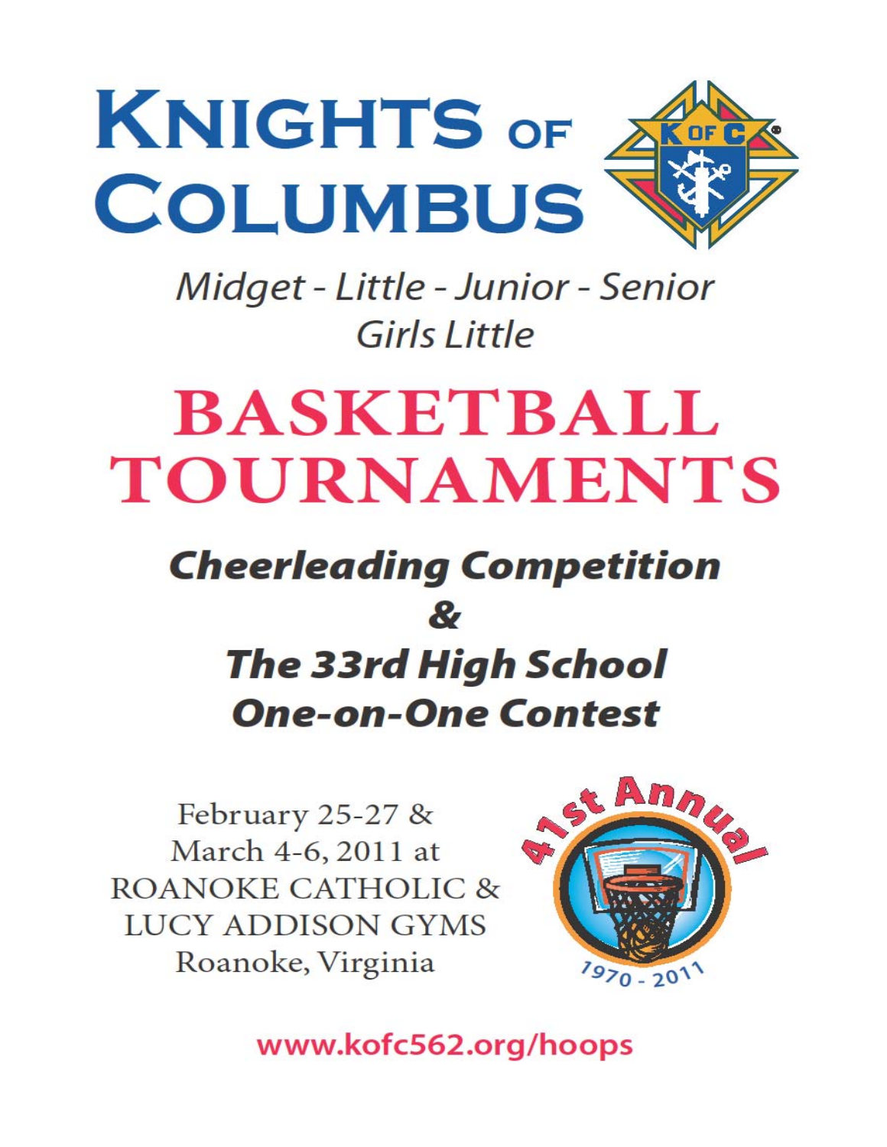

Midget - Little - Junior - Senior Girls Little

# **BASKETBALL TOURNAMENTS**

## **Cheerleading Competition**  $\boldsymbol{\mathcal{R}}$ **The 33rd High School One-on-One Contest**

February 25-27 & March 4-6, 2011 at **ROANOKE CATHOLIC & LUCY ADDISON GYMS** Roanoke, Virginia



www.kofc562.org/hoops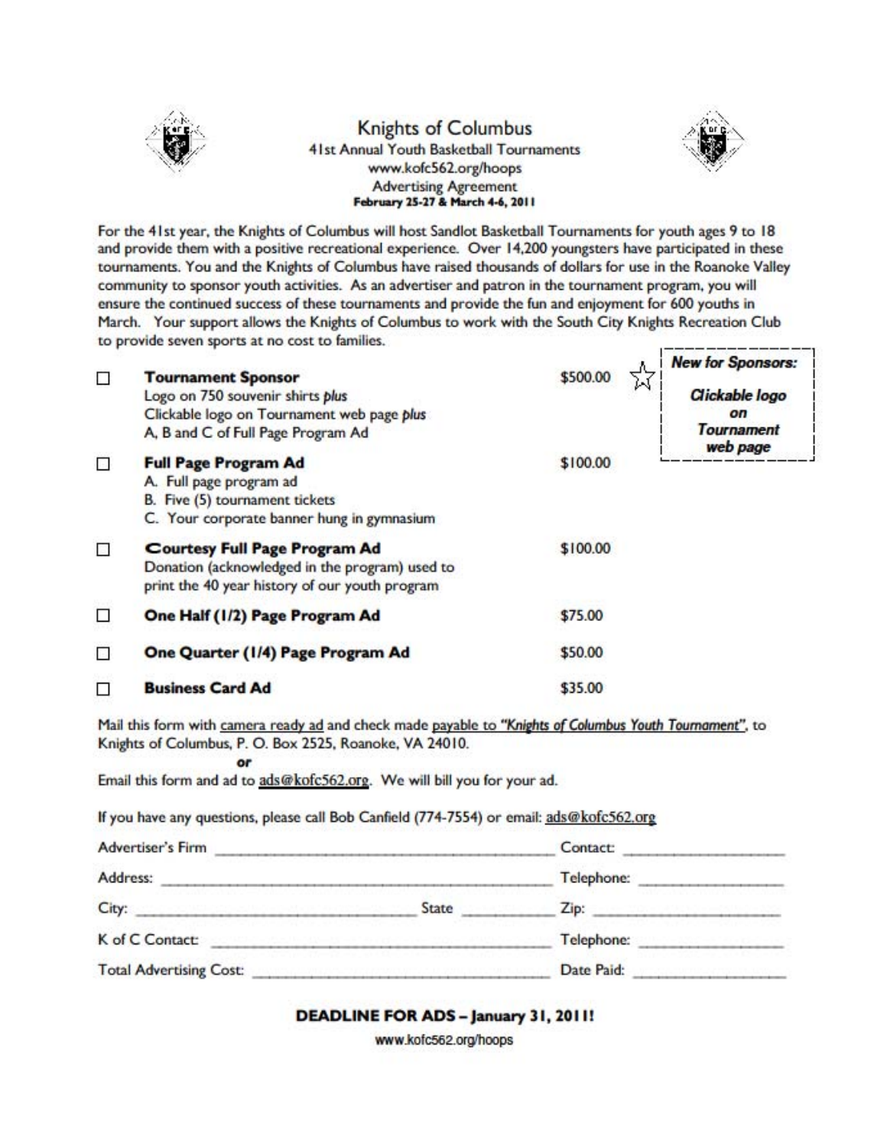

#### **Knights of Columbus** 41st Annual Youth Basketball Tournaments www.kofc562.org/hoops **Advertising Agreement** February 25-27 & March 4-6, 2011



For the 41st year, the Knights of Columbus will host Sandlot Basketball Tournaments for youth ages 9 to 18 and provide them with a positive recreational experience. Over 14,200 youngsters have participated in these tournaments. You and the Knights of Columbus have raised thousands of dollars for use in the Roanoke Valley community to sponsor youth activities. As an advertiser and patron in the tournament program, you will ensure the continued success of these tournaments and provide the fun and enjoyment for 600 youths in March. Your support allows the Knights of Columbus to work with the South City Knights Recreation Club to provide seven sports at no cost to families.

|   | <b>Tournament Sponsor</b><br>Logo on 750 souvenir shirts plus<br>Clickable logo on Tournament web page plus<br>A, B and C of Full Page Program Ad | \$500.00 | <b>New for Sponsors:</b><br>Clickable logo<br>οn<br><b>Tournament</b><br>web page |
|---|---------------------------------------------------------------------------------------------------------------------------------------------------|----------|-----------------------------------------------------------------------------------|
| П | <b>Full Page Program Ad</b><br>A. Full page program ad<br>B. Five (5) tournament tickets<br>C. Your corporate banner hung in gymnasium            | \$100.00 |                                                                                   |
| П | <b>Courtesy Full Page Program Ad</b><br>Donation (acknowledged in the program) used to<br>print the 40 year history of our youth program          | \$100.00 |                                                                                   |
|   | One Half (1/2) Page Program Ad                                                                                                                    | \$75.00  |                                                                                   |
| п | One Quarter (1/4) Page Program Ad                                                                                                                 | \$50.00  |                                                                                   |
|   | <b>Business Card Ad</b>                                                                                                                           | \$35.00  |                                                                                   |

Mail this form with camera ready ad and check made payable to "Knights of Columbus Youth Tournament", to Knights of Columbus, P. O. Box 2525, Roanoke, VA 24010.

Email this form and ad to ads@kofc562.org. We will bill you for your ad.

or

If you have any questions, please call Bob Canfield (774-7554) or email: ads@kofc562.org

| <b>Advertiser's Firm</b>       |       | Contact:   |  |
|--------------------------------|-------|------------|--|
| Address:                       |       | Telephone: |  |
| City:                          | State | $\sqrt{D}$ |  |
| K of C Contact:                |       | Telephone: |  |
| <b>Total Advertising Cost:</b> |       | Date Paid: |  |

DEADLINE FOR ADS - January 31, 2011!

www.kofc562.org/hoops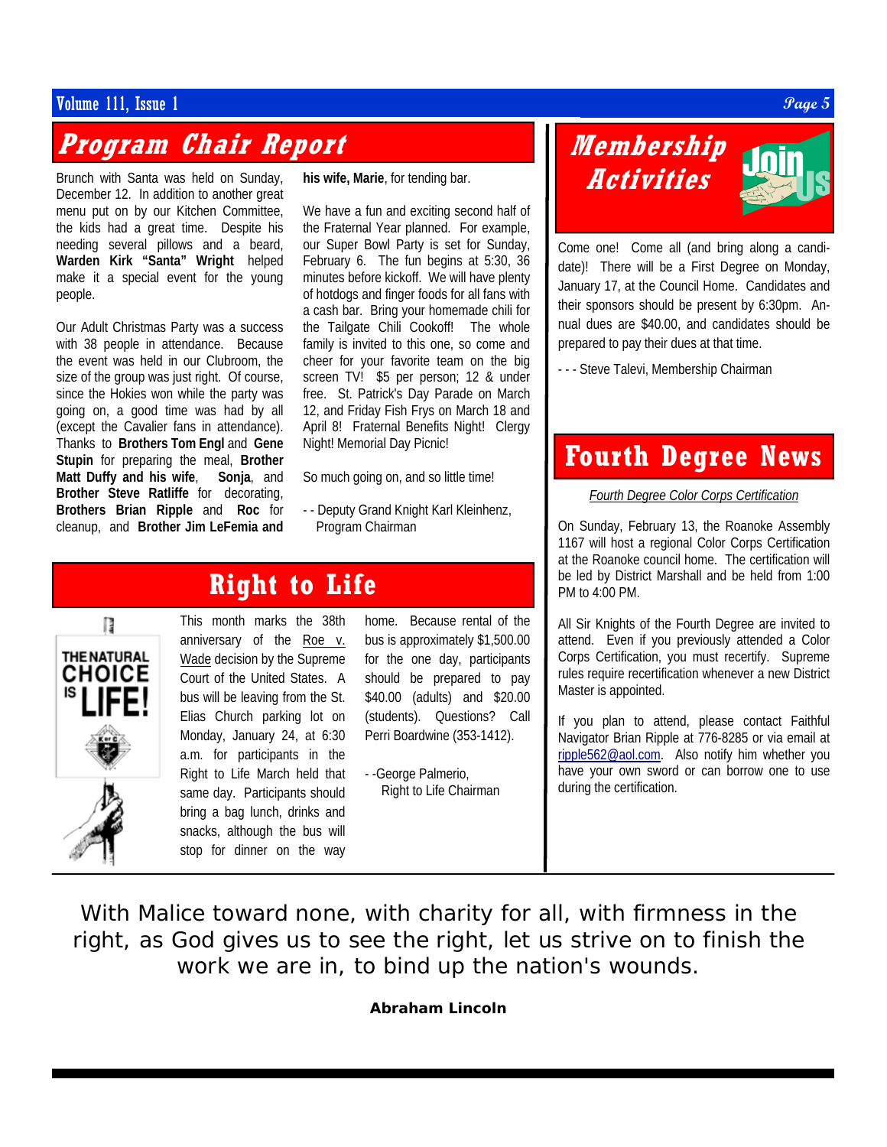#### $\bm{V}$ olume 111, Issue 1  $\bm{Page\ 5}$

## **Program Chair Report**

Brunch with Santa was held on Sunday, December 12. In addition to another great menu put on by our Kitchen Committee, the kids had a great time. Despite his needing several pillows and a beard, **Warden Kirk "Santa" Wright** helped make it a special event for the young people.

Our Adult Christmas Party was a success with 38 people in attendance. Because the event was held in our Clubroom, the size of the group was just right. Of course, since the Hokies won while the party was going on, a good time was had by all (except the Cavalier fans in attendance). Thanks to **Brothers Tom Engl** and **Gene Stupin** for preparing the meal, **Brother Matt Duffy and his wife**, **Sonja**, and **Brother Steve Ratliffe** for decorating, **Brothers Brian Ripple** and **Roc** for cleanup, and **Brother Jim LeFemia and** 

**his wife, Marie**, for tending bar.

We have a fun and exciting second half of the Fraternal Year planned. For example, our Super Bowl Party is set for Sunday, February 6. The fun begins at 5:30, 36 minutes before kickoff. We will have plenty of hotdogs and finger foods for all fans with a cash bar. Bring your homemade chili for the Tailgate Chili Cookoff! The whole family is invited to this one, so come and cheer for your favorite team on the big screen TV! \$5 per person; 12 & under free. St. Patrick's Day Parade on March 12, and Friday Fish Frys on March 18 and April 8! Fraternal Benefits Night! Clergy Night! Memorial Day Picnic!

So much going on, and so little time!

- - Deputy Grand Knight Karl Kleinhenz, Program Chairman

### This month marks the 38th **Right to Life**

anniversary of the Roe v. Wade decision by the Supreme Court of the United States. A bus will be leaving from the St. Elias Church parking lot on Monday, January 24, at 6:30 a.m. for participants in the Right to Life March held that same day. Participants should bring a bag lunch, drinks and snacks, although the bus will stop for dinner on the way

home. Because rental of the bus is approximately \$1,500.00 for the one day, participants should be prepared to pay \$40.00 (adults) and \$20.00 (students). Questions? Call Perri Boardwine (353-1412).

- -George Palmerio, Right to Life Chairman

## **Membership Activities**

Come one! Come all (and bring along a candidate)! There will be a First Degree on Monday, January 17, at the Council Home. Candidates and their sponsors should be present by 6:30pm. Annual dues are \$40.00, and candidates should be prepared to pay their dues at that time.

- - - Steve Talevi, Membership Chairman

## **Fourth Degree News**

*Fourth Degree Color Corps Certification*

On Sunday, February 13, the Roanoke Assembly 1167 will host a regional Color Corps Certification at the Roanoke council home. The certification will be led by District Marshall and be held from 1:00 PM to 4:00 PM.

All Sir Knights of the Fourth Degree are invited to attend. Even if you previously attended a Color Corps Certification, you must recertify. Supreme rules require recertification whenever a new District Master is appointed.

If you plan to attend, please contact Faithful Navigator Brian Ripple at 776-8285 or via email at ripple562@aol.com. Also notify him whether you have your own sword or can borrow one to use during the certification.

With Malice toward none, with charity for all, with firmness in the right, as God gives us to see the right, let us strive on to finish the work we are in, to bind up the nation's wounds.

**Abraham Lincoln**